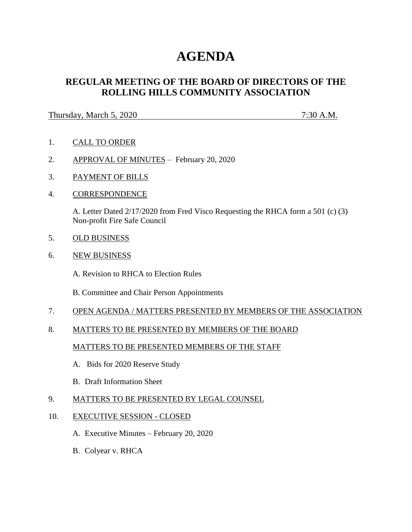# **AGENDA**

## **REGULAR MEETING OF THE BOARD OF DIRECTORS OF THE ROLLING HILLS COMMUNITY ASSOCIATION**

#### Thursday, March 5, 2020 7:30 A.M.

- 1. CALL TO ORDER
- 2. APPROVAL OF MINUTES February 20, 2020
- 3. PAYMENT OF BILLS
- 4. CORRESPONDENCE

A. Letter Dated 2/17/2020 from Fred Visco Requesting the RHCA form a 501 (c) (3) Non-profit Fire Safe Council

- 5. OLD BUSINESS
- 6. NEW BUSINESS

A. Revision to RHCA to Election Rules

B. Committee and Chair Person Appointments

- 7. OPEN AGENDA / MATTERS PRESENTED BY MEMBERS OF THE ASSOCIATION
- 8. MATTERS TO BE PRESENTED BY MEMBERS OF THE BOARD

### MATTERS TO BE PRESENTED MEMBERS OF THE STAFF

- A. Bids for 2020 Reserve Study
- B. Draft Information Sheet
- 9. MATTERS TO BE PRESENTED BY LEGAL COUNSEL
- 10. EXECUTIVE SESSION CLOSED
	- A. Executive Minutes February 20, 2020
	- B. Colyear v. RHCA